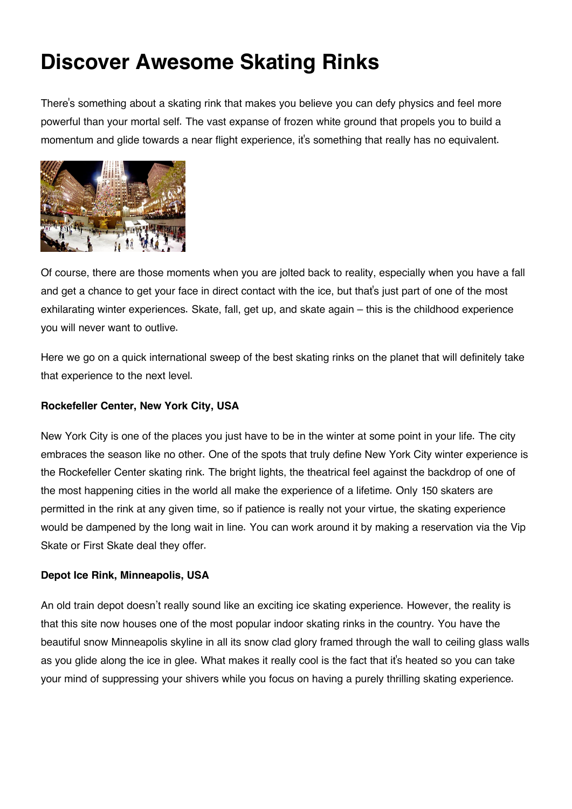# **Discover Awesome Skating Rinks**

There's something about a skating rink that makes you believe you can defy physics and feel more powerful than your mortal self. The vast expanse of frozen white ground that propels you to build a momentum and glide towards a near flight experience, it's something that really has no equivalent.



Of course, there are those moments when you are jolted back to reality, especially when you have a fall and get a chance to get your face in direct contact with the ice, but that's just part of one of the most exhilarating winter experiences. Skate, fall, get up, and skate again – this is the childhood experience you will never want to outlive.

Here we go on a quick international sweep of the best skating rinks on the planet that will definitely take that experience to the next level.

# **Rockefeller Center, New York City, USA**

New York City is one of the places you just have to be in the winter at some point in your life. The city embraces the season like no other. One of the spots that truly define New York City winter experience is the Rockefeller Center skating rink. The bright lights, the theatrical feel against the backdrop of one of the most happening cities in the world all make the experience of a lifetime. Only 150 skaters are permitted in the rink at any given time, so if patience is really not your virtue, the skating experience would be dampened by the long wait in line. You can work around it by making a reservation via the Vip Skate or First Skate deal they offer.

# **Depot Ice Rink, Minneapolis, USA**

An old train depot doesn't really sound like an exciting ice skating experience. However, the reality is that this site now houses one of the most popular indoor skating rinks in the country. You have the beautiful snow Minneapolis skyline in all its snow clad glory framed through the wall to ceiling glass walls as you glide along the ice in glee. What makes it really cool is the fact that it's heated so you can take your mind of suppressing your shivers while you focus on having a purely thrilling skating experience.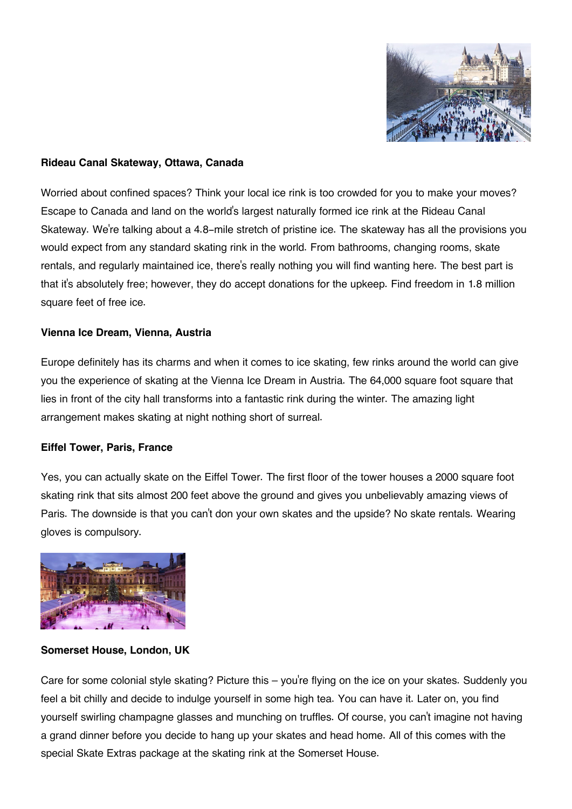

## **Rideau Canal Skateway, Ottawa, Canada**

Worried about confined spaces? Think your local ice rink is too crowded for you to make your moves? Escape to Canada and land on the world's largest naturally formed ice rink at the Rideau Canal Skateway. We're talking about a 4.8-mile stretch of pristine ice. The skateway has all the provisions you would expect from any standard skating rink in the world. From bathrooms, changing rooms, skate rentals, and regularly maintained ice, there's really nothing you will find wanting here. The best part is that it's absolutely free; however, they do accept donations for the upkeep. Find freedom in 1.8 million square feet of free ice.

## **Vienna Ice Dream, Vienna, Austria**

Europe definitely has its charms and when it comes to ice skating, few rinks around the world can give you the experience of skating at the Vienna Ice Dream in Austria. The 64,000 square foot square that lies in front of the city hall transforms into a fantastic rink during the winter. The amazing light arrangement makes skating at night nothing short of surreal.

## **Eiffel Tower, Paris, France**

Yes, you can actually skate on the Eiffel Tower. The first floor of the tower houses a 2000 square foot skating rink that sits almost 200 feet above the ground and gives you unbelievably amazing views of Paris. The downside is that you can't don your own skates and the upside? No skate rentals. Wearing gloves is compulsory.



## **Somerset House, London, UK**

Care for some colonial style skating? Picture this – you're flying on the ice on your skates. Suddenly you feel a bit chilly and decide to indulge yourself in some high tea. You can have it. Later on, you find yourself swirling champagne glasses and munching on truffles. Of course, you can't imagine not having a grand dinner before you decide to hang up your skates and head home. All of this comes with the special Skate Extras package at the skating rink at the Somerset House.